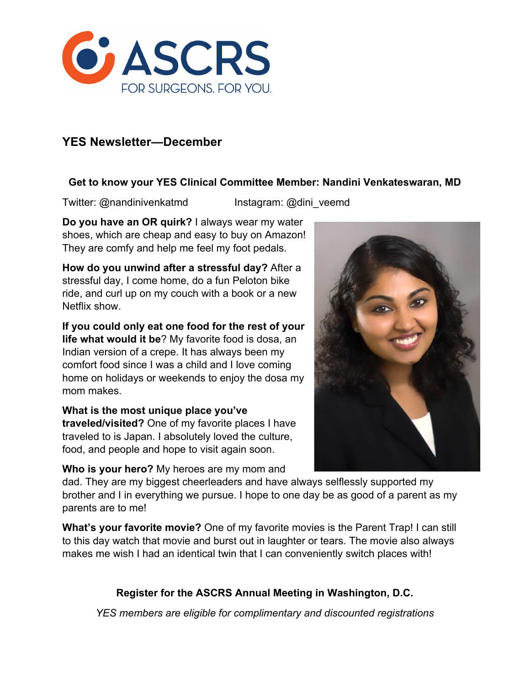

# **YES Newsletter—December**

#### **Get to know your YES Clinical Committee Member: Nandini Venkateswaran, MD**

Twitter: @nandinivenkatmd Instagram: @dini\_veemd

**Do you have an OR quirk?** I always wear my water shoes, which are cheap and easy to buy on Amazon! They are comfy and help me feel my foot pedals.

**How do you unwind after a stressful day?** After a stressful day, I come home, do a fun Peloton bike ride, and curl up on my couch with a book or a new Netflix show.

**If you could only eat one food for the rest of your life what would it be**? My favorite food is dosa, an Indian version of a crepe. It has always been my comfort food since I was a child and I love coming home on holidays or weekends to enjoy the dosa my mom makes.

**What is the most unique place you've traveled/visited?** One of my favorite places I have traveled to is Japan. I absolutely loved the culture, food, and people and hope to visit again soon.

**Who is your hero?** My heroes are my mom and

dad. They are my biggest cheerleaders and have always selflessly supported my brother and I in everything we pursue. I hope to one day be as good of a parent as my parents are to me!

**What's your favorite movie?** One of my favorite movies is the Parent Trap! I can still to this day watch that movie and burst out in laughter or tears. The movie also always makes me wish I had an identical twin that I can conveniently switch places with!

## **Register for the ASCRS Annual Meeting in Washington, D.C.**

*YES members are eligible for complimentary and discounted registrations*

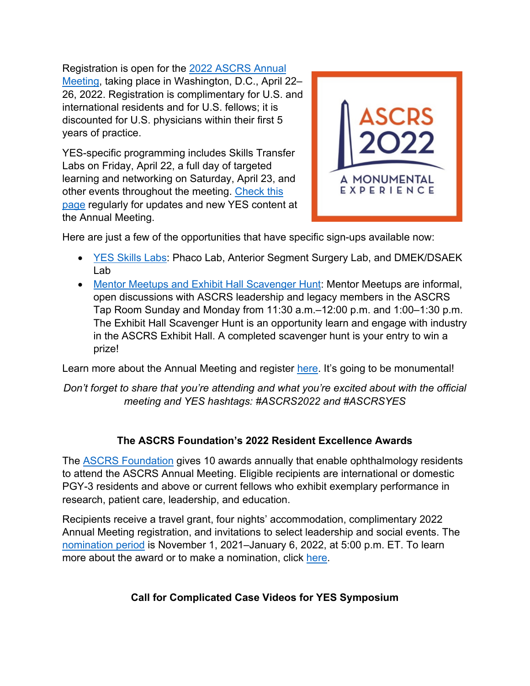Registration is open for the 2022 ASCRS Annual

Meeting, taking place in Washington, D.C., April 22– 26, 2022. Registration is complimentary for U.S. and international residents and for U.S. fellows; it is discounted for U.S. physicians within their first 5 years of practice.

YES-specific programming includes Skills Transfer Labs on Friday, April 22, a full day of targeted learning and networking on Saturday, April 23, and other events throughout the meeting. Check this page regularly for updates and new YES content at the Annual Meeting.



Here are just a few of the opportunities that have specific sign-ups available now:

- YES Skills Labs: Phaco Lab, Anterior Segment Surgery Lab, and DMEK/DSAEK Lab
- Mentor Meetups and Exhibit Hall Scavenger Hunt: Mentor Meetups are informal, open discussions with ASCRS leadership and legacy members in the ASCRS Tap Room Sunday and Monday from 11:30 a.m.–12:00 p.m. and 1:00–1:30 p.m. The Exhibit Hall Scavenger Hunt is an opportunity learn and engage with industry in the ASCRS Exhibit Hall. A completed scavenger hunt is your entry to win a prize!

Learn more about the Annual Meeting and register here. It's going to be monumental!

*Don't forget to share that you're attending and what you're excited about with the official meeting and YES hashtags: #ASCRS2022 and #ASCRSYES*

## **The ASCRS Foundation's 2022 Resident Excellence Awards**

The **ASCRS Foundation** gives 10 awards annually that enable ophthalmology residents to attend the ASCRS Annual Meeting. Eligible recipients are international or domestic PGY-3 residents and above or current fellows who exhibit exemplary performance in research, patient care, leadership, and education.

Recipients receive a travel grant, four nights' accommodation, complimentary 2022 Annual Meeting registration, and invitations to select leadership and social events. The nomination period is November 1, 2021–January 6, 2022, at 5:00 p.m. ET. To learn more about the award or to make a nomination, click here.

# **Call for Complicated Case Videos for YES Symposium**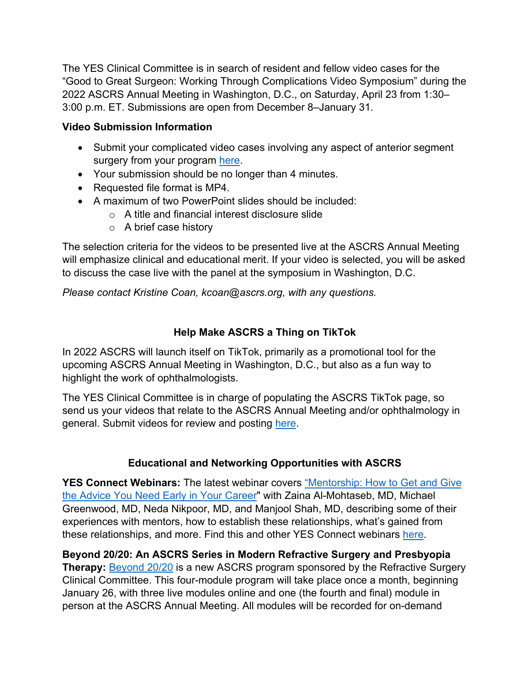The YES Clinical Committee is in search of resident and fellow video cases for the "Good to Great Surgeon: Working Through Complications Video Symposium" during the 2022 ASCRS Annual Meeting in Washington, D.C., on Saturday, April 23 from 1:30– 3:00 p.m. ET. Submissions are open from December 8–January 31.

### **Video Submission Information**

- Submit your complicated video cases involving any aspect of anterior segment surgery from your program here.
- Your submission should be no longer than 4 minutes.
- Requested file format is MP4.
- A maximum of two PowerPoint slides should be included:
	- o A title and financial interest disclosure slide
	- o A brief case history

The selection criteria for the videos to be presented live at the ASCRS Annual Meeting will emphasize clinical and educational merit. If your video is selected, you will be asked to discuss the case live with the panel at the symposium in Washington, D.C.

*Please contact Kristine Coan, kcoan@ascrs.org, with any questions.*

## **Help Make ASCRS a Thing on TikTok**

In 2022 ASCRS will launch itself on TikTok, primarily as a promotional tool for the upcoming ASCRS Annual Meeting in Washington, D.C., but also as a fun way to highlight the work of ophthalmologists.

The YES Clinical Committee is in charge of populating the ASCRS TikTok page, so send us your videos that relate to the ASCRS Annual Meeting and/or ophthalmology in general. Submit videos for review and posting here.

### **Educational and Networking Opportunities with ASCRS**

**YES Connect Webinars:** The latest webinar covers "Mentorship: How to Get and Give the Advice You Need Early in Your Career" with Zaina Al-Mohtaseb, MD, Michael Greenwood, MD, Neda Nikpoor, MD, and Manjool Shah, MD, describing some of their experiences with mentors, how to establish these relationships, what's gained from these relationships, and more. Find this and other YES Connect webinars here.

**Beyond 20/20: An ASCRS Series in Modern Refractive Surgery and Presbyopia Therapy:** Beyond 20/20 is a new ASCRS program sponsored by the Refractive Surgery Clinical Committee. This four-module program will take place once a month, beginning January 26, with three live modules online and one (the fourth and final) module in person at the ASCRS Annual Meeting. All modules will be recorded for on-demand